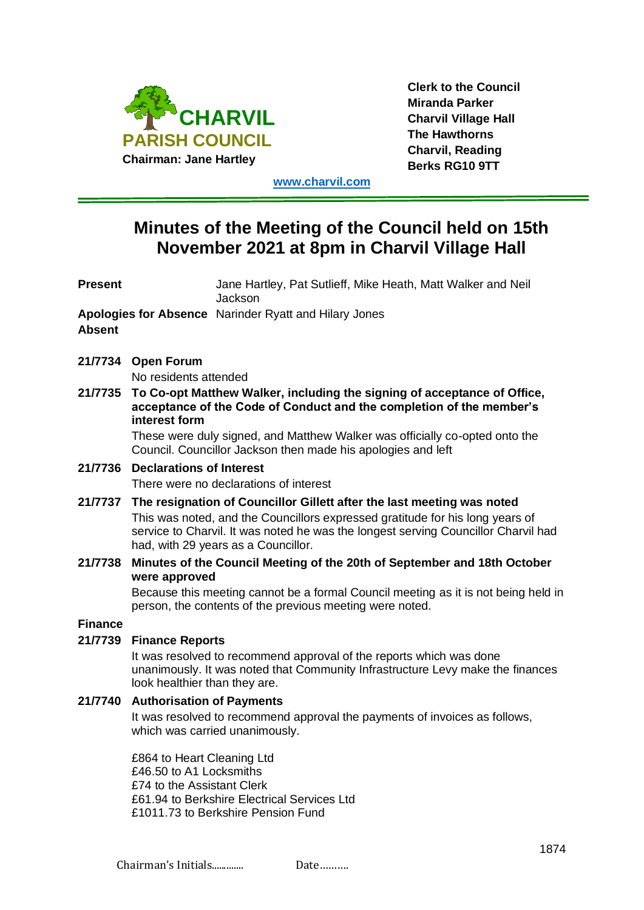

**Clerk to the Council Miranda Parker Charvil Village Hall The Hawthorns Charvil, Reading Berks RG10 9TT**

**[www.charvil.com](http://www.charvil.com/)**

# **Minutes of the Meeting of the Council held on 15th November 2021 at 8pm in Charvil Village Hall**

| <b>Present</b>                                                         | Jane Hartley, Pat Sutlieff, Mike Heath, Matt Walker and Neil<br>Jackson                                                                                                                                                                                                              |
|------------------------------------------------------------------------|--------------------------------------------------------------------------------------------------------------------------------------------------------------------------------------------------------------------------------------------------------------------------------------|
| Apologies for Absence Narinder Ryatt and Hilary Jones<br><b>Absent</b> |                                                                                                                                                                                                                                                                                      |
|                                                                        | 21/7734 Open Forum                                                                                                                                                                                                                                                                   |
|                                                                        | No residents attended                                                                                                                                                                                                                                                                |
| 21/7735                                                                | To Co-opt Matthew Walker, including the signing of acceptance of Office,<br>acceptance of the Code of Conduct and the completion of the member's<br>interest form                                                                                                                    |
|                                                                        | These were duly signed, and Matthew Walker was officially co-opted onto the<br>Council. Councillor Jackson then made his apologies and left                                                                                                                                          |
| 21/7736                                                                | <b>Declarations of Interest</b><br>There were no declarations of interest                                                                                                                                                                                                            |
| 21/7737                                                                | The resignation of Councillor Gillett after the last meeting was noted<br>This was noted, and the Councillors expressed gratitude for his long years of<br>service to Charvil. It was noted he was the longest serving Councillor Charvil had<br>had, with 29 years as a Councillor. |
| 21/7738                                                                | Minutes of the Council Meeting of the 20th of September and 18th October<br>were approved                                                                                                                                                                                            |
|                                                                        | Because this meeting cannot be a formal Council meeting as it is not being held in<br>person, the contents of the previous meeting were noted.                                                                                                                                       |
| <b>Finance</b>                                                         |                                                                                                                                                                                                                                                                                      |
| 21/7739                                                                | <b>Finance Reports</b>                                                                                                                                                                                                                                                               |
|                                                                        | It was resolved to recommend approval of the reports which was done<br>unanimously. It was noted that Community Infrastructure Levy make the finances<br>look healthier than they are.                                                                                               |
| 21/7740                                                                | <b>Authorisation of Payments</b>                                                                                                                                                                                                                                                     |
|                                                                        | It was resolved to recommend approval the payments of invoices as follows,<br>which was carried unanimously.                                                                                                                                                                         |
|                                                                        | £864 to Heart Cleaning Ltd<br>£46.50 to A1 Locksmiths<br>£74 to the Assistant Clerk<br>£61.94 to Berkshire Electrical Services Ltd<br>£1011.73 to Berkshire Pension Fund                                                                                                             |
|                                                                        | 1874                                                                                                                                                                                                                                                                                 |
|                                                                        | Chairman's Initials<br>Date                                                                                                                                                                                                                                                          |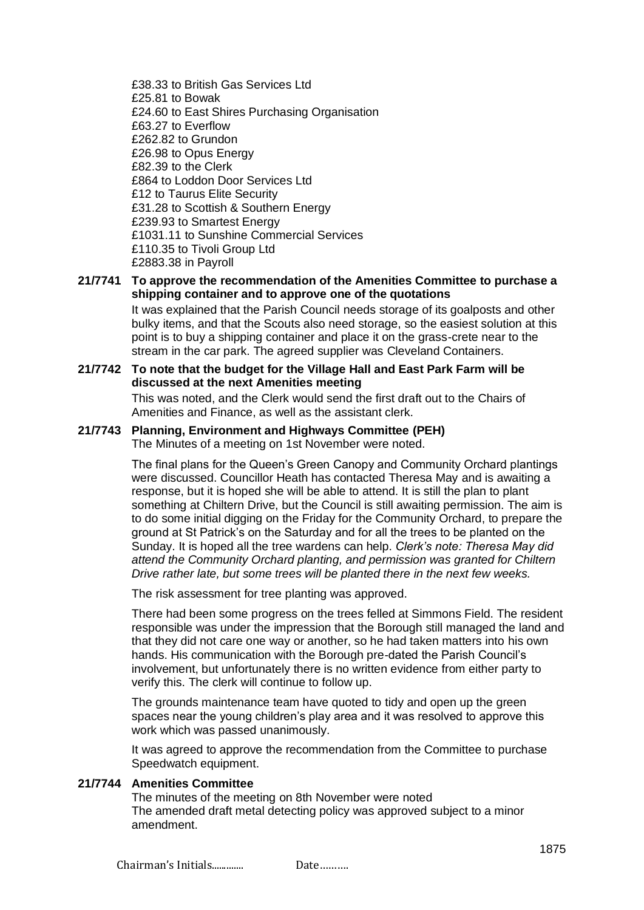£38.33 to British Gas Services Ltd £25.81 to Bowak £24.60 to East Shires Purchasing Organisation £63.27 to Everflow £262.82 to Grundon £26.98 to Opus Energy £82.39 to the Clerk £864 to Loddon Door Services Ltd £12 to Taurus Elite Security £31.28 to Scottish & Southern Energy £239.93 to Smartest Energy £1031.11 to Sunshine Commercial Services £110.35 to Tivoli Group Ltd £2883.38 in Payroll

## **21/7741 To approve the recommendation of the Amenities Committee to purchase a shipping container and to approve one of the quotations**

It was explained that the Parish Council needs storage of its goalposts and other bulky items, and that the Scouts also need storage, so the easiest solution at this point is to buy a shipping container and place it on the grass-crete near to the stream in the car park. The agreed supplier was Cleveland Containers.

### **21/7742 To note that the budget for the Village Hall and East Park Farm will be discussed at the next Amenities meeting**

This was noted, and the Clerk would send the first draft out to the Chairs of Amenities and Finance, as well as the assistant clerk.

#### **21/7743 Planning, Environment and Highways Committee (PEH)** The Minutes of a meeting on 1st November were noted.

The final plans for the Queen's Green Canopy and Community Orchard plantings were discussed. Councillor Heath has contacted Theresa May and is awaiting a response, but it is hoped she will be able to attend. It is still the plan to plant something at Chiltern Drive, but the Council is still awaiting permission. The aim is to do some initial digging on the Friday for the Community Orchard, to prepare the ground at St Patrick's on the Saturday and for all the trees to be planted on the Sunday. It is hoped all the tree wardens can help. *Clerk's note: Theresa May did attend the Community Orchard planting, and permission was granted for Chiltern Drive rather late, but some trees will be planted there in the next few weeks.*

The risk assessment for tree planting was approved.

There had been some progress on the trees felled at Simmons Field. The resident responsible was under the impression that the Borough still managed the land and that they did not care one way or another, so he had taken matters into his own hands. His communication with the Borough pre-dated the Parish Council's involvement, but unfortunately there is no written evidence from either party to verify this. The clerk will continue to follow up.

The grounds maintenance team have quoted to tidy and open up the green spaces near the young children's play area and it was resolved to approve this work which was passed unanimously.

It was agreed to approve the recommendation from the Committee to purchase Speedwatch equipment.

## **21/7744 Amenities Committee**

The minutes of the meeting on 8th November were noted The amended draft metal detecting policy was approved subject to a minor amendment.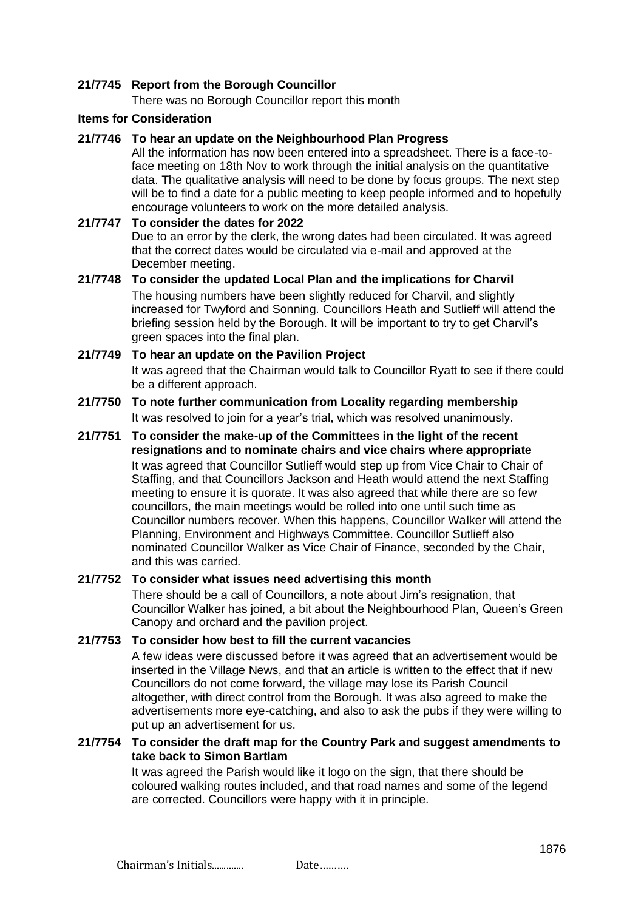## **21/7745 Report from the Borough Councillor**

There was no Borough Councillor report this month

#### **Items for Consideration**

### **21/7746 To hear an update on the Neighbourhood Plan Progress**

All the information has now been entered into a spreadsheet. There is a face-toface meeting on 18th Nov to work through the initial analysis on the quantitative data. The qualitative analysis will need to be done by focus groups. The next step will be to find a date for a public meeting to keep people informed and to hopefully encourage volunteers to work on the more detailed analysis.

## **21/7747 To consider the dates for 2022** Due to an error by the clerk, the wrong dates had been circulated. It was agreed that the correct dates would be circulated via e-mail and approved at the December meeting.

### **21/7748 To consider the updated Local Plan and the implications for Charvil** The housing numbers have been slightly reduced for Charvil, and slightly increased for Twyford and Sonning. Councillors Heath and Sutlieff will attend the briefing session held by the Borough. It will be important to try to get Charvil's green spaces into the final plan.

## **21/7749 To hear an update on the Pavilion Project** It was agreed that the Chairman would talk to Councillor Ryatt to see if there could be a different approach.

### **21/7750 To note further communication from Locality regarding membership** It was resolved to join for a year's trial, which was resolved unanimously.

## **21/7751 To consider the make-up of the Committees in the light of the recent resignations and to nominate chairs and vice chairs where appropriate**

It was agreed that Councillor Sutlieff would step up from Vice Chair to Chair of Staffing, and that Councillors Jackson and Heath would attend the next Staffing meeting to ensure it is quorate. It was also agreed that while there are so few councillors, the main meetings would be rolled into one until such time as Councillor numbers recover. When this happens, Councillor Walker will attend the Planning, Environment and Highways Committee. Councillor Sutlieff also nominated Councillor Walker as Vice Chair of Finance, seconded by the Chair, and this was carried.

## **21/7752 To consider what issues need advertising this month**

There should be a call of Councillors, a note about Jim's resignation, that Councillor Walker has joined, a bit about the Neighbourhood Plan, Queen's Green Canopy and orchard and the pavilion project.

## **21/7753 To consider how best to fill the current vacancies**

A few ideas were discussed before it was agreed that an advertisement would be inserted in the Village News, and that an article is written to the effect that if new Councillors do not come forward, the village may lose its Parish Council altogether, with direct control from the Borough. It was also agreed to make the advertisements more eye-catching, and also to ask the pubs if they were willing to put up an advertisement for us.

## **21/7754 To consider the draft map for the Country Park and suggest amendments to take back to Simon Bartlam**

It was agreed the Parish would like it logo on the sign, that there should be coloured walking routes included, and that road names and some of the legend are corrected. Councillors were happy with it in principle.